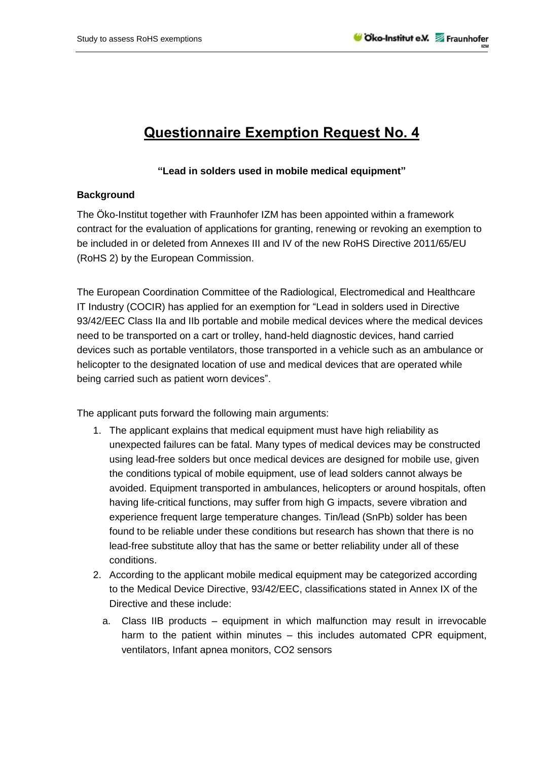## **Questionnaire Exemption Request No. 4**

## **"Lead in solders used in mobile medical equipment"**

## **Background**

The Öko-Institut together with Fraunhofer IZM has been appointed within a framework contract for the evaluation of applications for granting, renewing or revoking an exemption to be included in or deleted from Annexes III and IV of the new RoHS Directive 2011/65/EU (RoHS 2) by the European Commission.

The European Coordination Committee of the Radiological, Electromedical and Healthcare IT Industry (COCIR) has applied for an exemption for "Lead in solders used in Directive 93/42/EEC Class IIa and IIb portable and mobile medical devices where the medical devices need to be transported on a cart or trolley, hand-held diagnostic devices, hand carried devices such as portable ventilators, those transported in a vehicle such as an ambulance or helicopter to the designated location of use and medical devices that are operated while being carried such as patient worn devices".

The applicant puts forward the following main arguments:

- 1. The applicant explains that medical equipment must have high reliability as unexpected failures can be fatal. Many types of medical devices may be constructed using lead-free solders but once medical devices are designed for mobile use, given the conditions typical of mobile equipment, use of lead solders cannot always be avoided. Equipment transported in ambulances, helicopters or around hospitals, often having life-critical functions, may suffer from high G impacts, severe vibration and experience frequent large temperature changes. Tin/lead (SnPb) solder has been found to be reliable under these conditions but research has shown that there is no lead-free substitute alloy that has the same or better reliability under all of these conditions.
- 2. According to the applicant mobile medical equipment may be categorized according to the Medical Device Directive, 93/42/EEC, classifications stated in Annex IX of the Directive and these include:
	- a. Class IIB products equipment in which malfunction may result in irrevocable harm to the patient within minutes – this includes automated CPR equipment, ventilators, Infant apnea monitors, CO2 sensors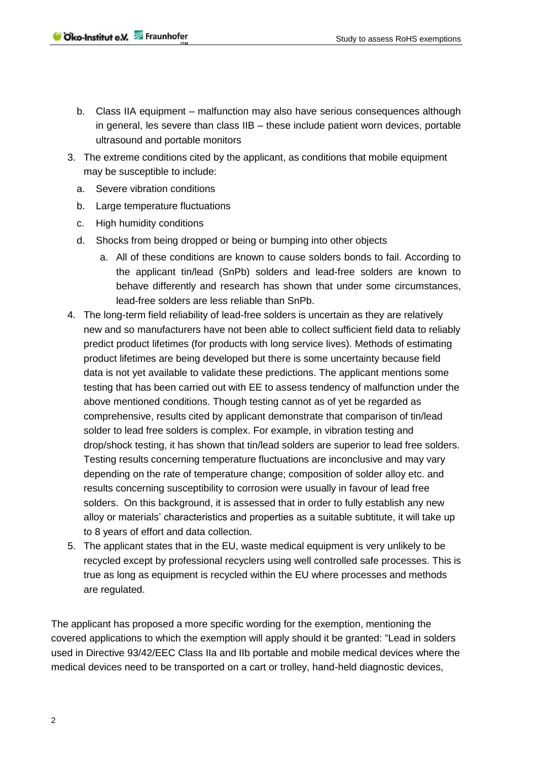- b. Class IIA equipment malfunction may also have serious consequences although in general, les severe than class IIB – these include patient worn devices, portable ultrasound and portable monitors
- 3. The extreme conditions cited by the applicant, as conditions that mobile equipment may be susceptible to include:
	- a. Severe vibration conditions
	- b. Large temperature fluctuations
	- c. High humidity conditions
	- d. Shocks from being dropped or being or bumping into other objects
		- a. All of these conditions are known to cause solders bonds to fail. According to the applicant tin/lead (SnPb) solders and lead-free solders are known to behave differently and research has shown that under some circumstances, lead-free solders are less reliable than SnPb.
- 4. The long-term field reliability of lead-free solders is uncertain as they are relatively new and so manufacturers have not been able to collect sufficient field data to reliably predict product lifetimes (for products with long service lives). Methods of estimating product lifetimes are being developed but there is some uncertainty because field data is not yet available to validate these predictions. The applicant mentions some testing that has been carried out with EE to assess tendency of malfunction under the above mentioned conditions. Though testing cannot as of yet be regarded as comprehensive, results cited by applicant demonstrate that comparison of tin/lead solder to lead free solders is complex. For example, in vibration testing and drop/shock testing, it has shown that tin/lead solders are superior to lead free solders. Testing results concerning temperature fluctuations are inconclusive and may vary depending on the rate of temperature change; composition of solder alloy etc. and results concerning susceptibility to corrosion were usually in favour of lead free solders. On this background, it is assessed that in order to fully establish any new alloy or materials' characteristics and properties as a suitable subtitute, it will take up to 8 years of effort and data collection.
- 5. The applicant states that in the EU, waste medical equipment is very unlikely to be recycled except by professional recyclers using well controlled safe processes. This is true as long as equipment is recycled within the EU where processes and methods are regulated.

The applicant has proposed a more specific wording for the exemption, mentioning the covered applications to which the exemption will apply should it be granted: "Lead in solders used in Directive 93/42/EEC Class IIa and IIb portable and mobile medical devices where the medical devices need to be transported on a cart or trolley, hand-held diagnostic devices,